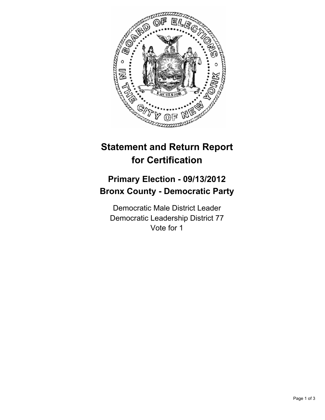

## **Statement and Return Report for Certification**

## **Primary Election - 09/13/2012 Bronx County - Democratic Party**

Democratic Male District Leader Democratic Leadership District 77 Vote for 1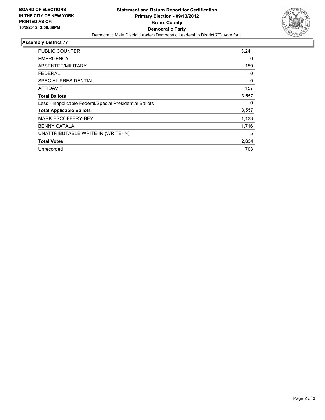

## **Assembly District 77**

| <b>PUBLIC COUNTER</b>                                    | 3,241       |
|----------------------------------------------------------|-------------|
| <b>EMERGENCY</b>                                         | 0           |
| ABSENTEE/MILITARY                                        | 159         |
| <b>FEDERAL</b>                                           | 0           |
| SPECIAL PRESIDENTIAL                                     | $\mathbf 0$ |
| <b>AFFIDAVIT</b>                                         | 157         |
| <b>Total Ballots</b>                                     | 3,557       |
| Less - Inapplicable Federal/Special Presidential Ballots | 0           |
| <b>Total Applicable Ballots</b>                          | 3,557       |
| <b>MARK ESCOFFERY-BEY</b>                                | 1,133       |
| <b>BENNY CATALA</b>                                      | 1,716       |
| UNATTRIBUTABLE WRITE-IN (WRITE-IN)                       | 5           |
| <b>Total Votes</b>                                       | 2,854       |
| Unrecorded                                               | 703         |